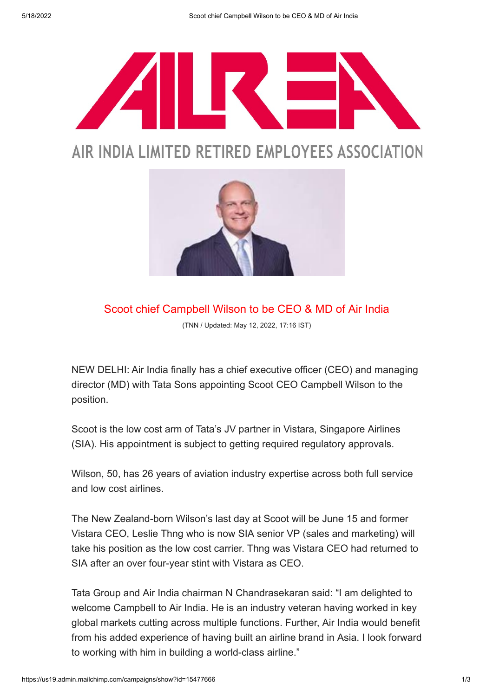

## AIR INDIA LIMITED RETIRED EMPLOYEES ASSOCIATION



Scoot chief Campbell Wilson to be CEO & MD of Air India

(TNN / Updated: May 12, 2022, 17:16 IST)

NEW DELHI: Air India finally has a chief executive officer (CEO) and managing director (MD) with Tata Sons appointing Scoot CEO Campbell Wilson to the position.

Scoot is the low cost arm of Tata's JV partner in Vistara, Singapore Airlines (SIA). His appointment is subject to getting required regulatory approvals.

Wilson, 50, has 26 years of aviation industry expertise across both full service and low cost airlines.

The New Zealand-born Wilson's last day at Scoot will be June 15 and former Vistara CEO, Leslie Thng who is now SIA senior VP (sales and marketing) will take his position as the low cost carrier. Thng was Vistara CEO had returned to SIA after an over four-year stint with Vistara as CEO.

Tata Group and Air India chairman N Chandrasekaran said: "I am delighted to welcome Campbell to Air India. He is an industry veteran having worked in key global markets cutting across multiple functions. Further, Air India would benefit from his added experience of having built an airline brand in Asia. I look forward to working with him in building a world-class airline."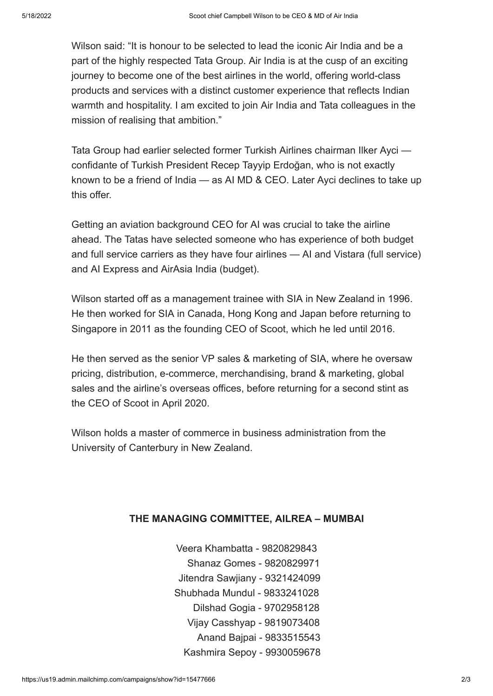Wilson said: "It is honour to be selected to lead the iconic Air India and be a part of the highly respected Tata Group. Air India is at the cusp of an exciting journey to become one of the best airlines in the world, offering world-class products and services with a distinct customer experience that reflects Indian warmth and hospitality. I am excited to join Air India and Tata colleagues in the mission of realising that ambition."

Tata Group had earlier selected former Turkish Airlines chairman Ilker Ayci confidante of Turkish President Recep Tayyip Erdoğan, who is not exactly known to be a friend of India — as AI MD & CEO. Later Ayci declines to take up this offer.

Getting an aviation background CEO for AI was crucial to take the airline ahead. The Tatas have selected someone who has experience of both budget and full service carriers as they have four airlines — AI and Vistara (full service) and AI Express and AirAsia India (budget).

Wilson started off as a management trainee with SIA in New Zealand in 1996. He then worked for SIA in Canada, Hong Kong and Japan before returning to Singapore in 2011 as the founding CEO of Scoot, which he led until 2016.

He then served as the senior VP sales & marketing of SIA, where he oversaw pricing, distribution, e-commerce, merchandising, brand & marketing, global sales and the airline's overseas offices, before returning for a second stint as the CEO of Scoot in April 2020.

Wilson holds a master of commerce in business administration from the University of Canterbury in New Zealand.

## THE MANAGING COMMITTEE, AILREA – MUMBAI

 Veera Khambatta - 9820829843 Shanaz Gomes - 9820829971 Jitendra Sawjiany - 9321424099 Shubhada Mundul - 9833241028 Dilshad Gogia - 9702958128 Vijay Casshyap - 9819073408 Anand Bajpai - 9833515543 Kashmira Sepoy - 9930059678